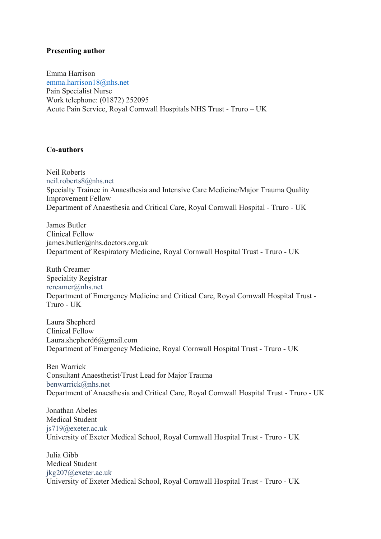# **Presenting author**

Emma Harrison emma.harrison18@nhs.net Pain Specialist Nurse Work telephone: (01872) 252095 Acute Pain Service, Royal Cornwall Hospitals NHS Trust - Truro – UK

# **Co-authors**

Neil Roberts neil.roberts8@nhs.net Specialty Trainee in Anaesthesia and Intensive Care Medicine/Major Trauma Quality Improvement Fellow Department of Anaesthesia and Critical Care, Royal Cornwall Hospital - Truro - UK

James Butler Clinical Fellow james.butler@nhs.doctors.org.uk Department of Respiratory Medicine, Royal Cornwall Hospital Trust - Truro - UK

Ruth Creamer Speciality Registrar rcreamer@nhs.net Department of Emergency Medicine and Critical Care, Royal Cornwall Hospital Trust - Truro - UK

Laura Shepherd Clinical Fellow Laura.shepherd6@gmail.com Department of Emergency Medicine, Royal Cornwall Hospital Trust - Truro - UK

Ben Warrick Consultant Anaesthetist/Trust Lead for Major Trauma benwarrick@nhs.net Department of Anaesthesia and Critical Care, Royal Cornwall Hospital Trust - Truro - UK

Jonathan Abeles Medical Student js719@exeter.ac.uk University of Exeter Medical School, Royal Cornwall Hospital Trust - Truro - UK

Julia Gibb Medical Student jkg207@exeter.ac.uk University of Exeter Medical School, Royal Cornwall Hospital Trust - Truro - UK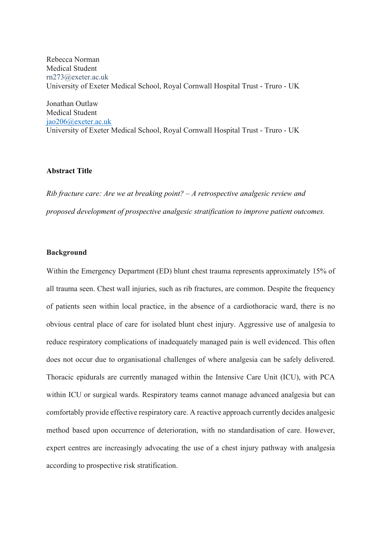Rebecca Norman Medical Student rn273@exeter.ac.uk University of Exeter Medical School, Royal Cornwall Hospital Trust - Truro - UK

Jonathan Outlaw Medical Student jao206@exeter.ac.uk University of Exeter Medical School, Royal Cornwall Hospital Trust - Truro - UK

## **Abstract Title**

*Rib fracture care: Are we at breaking point? – A retrospective analgesic review and proposed development of prospective analgesic stratification to improve patient outcomes.*

## **Background**

Within the Emergency Department (ED) blunt chest trauma represents approximately 15% of all trauma seen. Chest wall injuries, such as rib fractures, are common. Despite the frequency of patients seen within local practice, in the absence of a cardiothoracic ward, there is no obvious central place of care for isolated blunt chest injury. Aggressive use of analgesia to reduce respiratory complications of inadequately managed pain is well evidenced. This often does not occur due to organisational challenges of where analgesia can be safely delivered. Thoracic epidurals are currently managed within the Intensive Care Unit (ICU), with PCA within ICU or surgical wards. Respiratory teams cannot manage advanced analgesia but can comfortably provide effective respiratory care. A reactive approach currently decides analgesic method based upon occurrence of deterioration, with no standardisation of care. However, expert centres are increasingly advocating the use of a chest injury pathway with analgesia according to prospective risk stratification.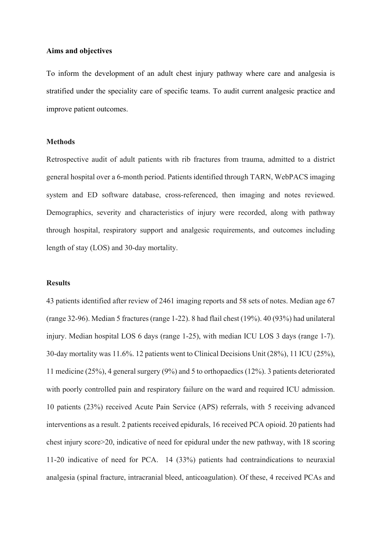### **Aims and objectives**

To inform the development of an adult chest injury pathway where care and analgesia is stratified under the speciality care of specific teams. To audit current analgesic practice and improve patient outcomes.

### **Methods**

Retrospective audit of adult patients with rib fractures from trauma, admitted to a district general hospital over a 6-month period. Patients identified through TARN, WebPACS imaging system and ED software database, cross-referenced, then imaging and notes reviewed. Demographics, severity and characteristics of injury were recorded, along with pathway through hospital, respiratory support and analgesic requirements, and outcomes including length of stay (LOS) and 30-day mortality.

### **Results**

43 patients identified after review of 2461 imaging reports and 58 sets of notes. Median age 67 (range 32-96). Median 5 fractures (range 1-22). 8 had flail chest (19%). 40 (93%) had unilateral injury. Median hospital LOS 6 days (range 1-25), with median ICU LOS 3 days (range 1-7). 30-day mortality was 11.6%. 12 patients went to Clinical Decisions Unit (28%), 11 ICU (25%), 11 medicine (25%), 4 general surgery (9%) and 5 to orthopaedics (12%). 3 patients deteriorated with poorly controlled pain and respiratory failure on the ward and required ICU admission. 10 patients (23%) received Acute Pain Service (APS) referrals, with 5 receiving advanced interventions as a result. 2 patients received epidurals, 16 received PCA opioid. 20 patients had chest injury score>20, indicative of need for epidural under the new pathway, with 18 scoring 11-20 indicative of need for PCA. 14 (33%) patients had contraindications to neuraxial analgesia (spinal fracture, intracranial bleed, anticoagulation). Of these, 4 received PCAs and